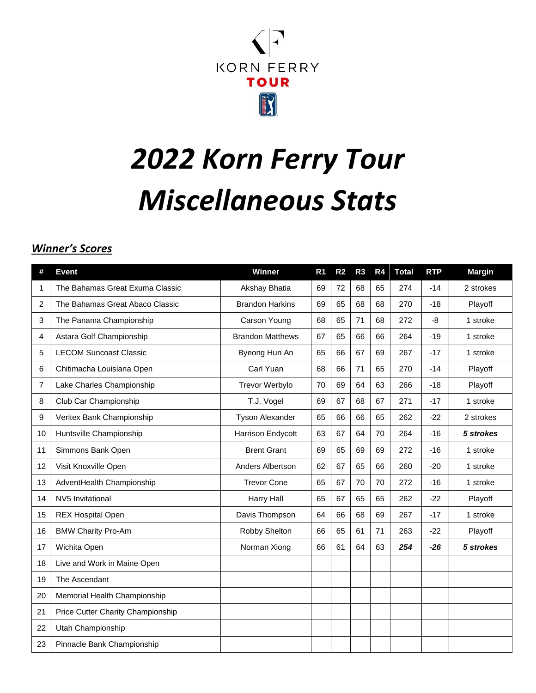

# *2022 Korn Ferry Tour Miscellaneous Stats*

## *Winner's Scores*

| #  | <b>Event</b>                      | <b>Winner</b>           | R <sub>1</sub> | R <sub>2</sub> | R <sub>3</sub> | R <sub>4</sub> | <b>Total</b> | <b>RTP</b> | <b>Margin</b> |
|----|-----------------------------------|-------------------------|----------------|----------------|----------------|----------------|--------------|------------|---------------|
| 1  | The Bahamas Great Exuma Classic   | Akshay Bhatia           | 69             | 72             | 68             | 65             | 274          | $-14$      | 2 strokes     |
| 2  | The Bahamas Great Abaco Classic   | <b>Brandon Harkins</b>  | 69             | 65             | 68             | 68             | 270          | $-18$      | Playoff       |
| 3  | The Panama Championship           | Carson Young            | 68             | 65             | 71             | 68             | 272          | -8         | 1 stroke      |
| 4  | Astara Golf Championship          | <b>Brandon Matthews</b> | 67             | 65             | 66             | 66             | 264          | $-19$      | 1 stroke      |
| 5  | <b>LECOM Suncoast Classic</b>     | Byeong Hun An           | 65             | 66             | 67             | 69             | 267          | $-17$      | 1 stroke      |
| 6  | Chitimacha Louisiana Open         | Carl Yuan               | 68             | 66             | 71             | 65             | 270          | $-14$      | Playoff       |
| 7  | Lake Charles Championship         | <b>Trevor Werbylo</b>   | 70             | 69             | 64             | 63             | 266          | $-18$      | Playoff       |
| 8  | Club Car Championship             | T.J. Vogel              | 69             | 67             | 68             | 67             | 271          | $-17$      | 1 stroke      |
| 9  | Veritex Bank Championship         | <b>Tyson Alexander</b>  | 65             | 66             | 66             | 65             | 262          | $-22$      | 2 strokes     |
| 10 | Huntsville Championship           | Harrison Endycott       | 63             | 67             | 64             | 70             | 264          | $-16$      | 5 strokes     |
| 11 | Simmons Bank Open                 | <b>Brent Grant</b>      | 69             | 65             | 69             | 69             | 272          | $-16$      | 1 stroke      |
| 12 | Visit Knoxville Open              | Anders Albertson        | 62             | 67             | 65             | 66             | 260          | $-20$      | 1 stroke      |
| 13 | AdventHealth Championship         | <b>Trevor Cone</b>      | 65             | 67             | 70             | 70             | 272          | $-16$      | 1 stroke      |
| 14 | NV5 Invitational                  | Harry Hall              | 65             | 67             | 65             | 65             | 262          | $-22$      | Playoff       |
| 15 | <b>REX Hospital Open</b>          | Davis Thompson          | 64             | 66             | 68             | 69             | 267          | $-17$      | 1 stroke      |
| 16 | <b>BMW Charity Pro-Am</b>         | Robby Shelton           | 66             | 65             | 61             | 71             | 263          | $-22$      | Playoff       |
| 17 | Wichita Open                      | Norman Xiong            | 66             | 61             | 64             | 63             | 254          | $-26$      | 5 strokes     |
| 18 | Live and Work in Maine Open       |                         |                |                |                |                |              |            |               |
| 19 | The Ascendant                     |                         |                |                |                |                |              |            |               |
| 20 | Memorial Health Championship      |                         |                |                |                |                |              |            |               |
| 21 | Price Cutter Charity Championship |                         |                |                |                |                |              |            |               |
| 22 | Utah Championship                 |                         |                |                |                |                |              |            |               |
| 23 | Pinnacle Bank Championship        |                         |                |                |                |                |              |            |               |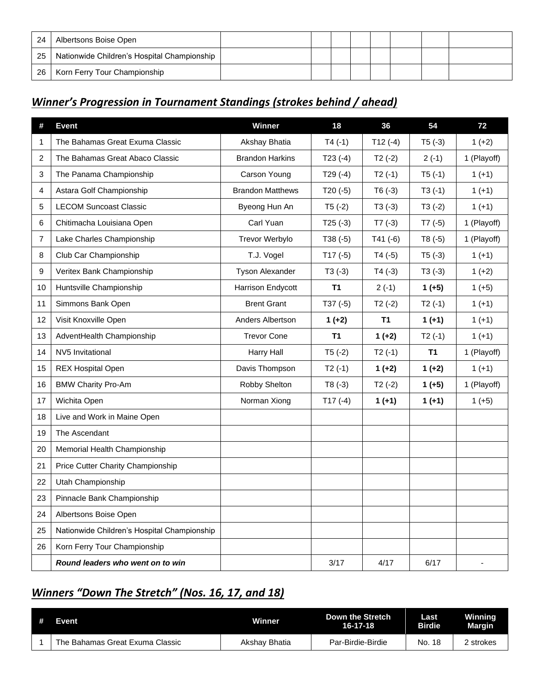| -24 | Albertsons Boise Open                       |  |  |  |  |
|-----|---------------------------------------------|--|--|--|--|
| 25  | Nationwide Children's Hospital Championship |  |  |  |  |
| -26 | Korn Ferry Tour Championship                |  |  |  |  |

## *Winner's Progression in Tournament Standings (strokes behind / ahead)*

| #              | <b>Event</b>                                | Winner                  | 18        | 36        | 54        | 72          |
|----------------|---------------------------------------------|-------------------------|-----------|-----------|-----------|-------------|
| 1              | The Bahamas Great Exuma Classic             | Akshay Bhatia           | $T4(-1)$  | $T12(-4)$ | $T5(-3)$  | $1 (+2)$    |
| $\overline{2}$ | The Bahamas Great Abaco Classic             | <b>Brandon Harkins</b>  | $T23(-4)$ | $T2(-2)$  | $2(-1)$   | 1 (Playoff) |
| 3              | The Panama Championship                     | Carson Young            | $T29(-4)$ | $T2(-1)$  | $T5(-1)$  | $1 (+1)$    |
| 4              | Astara Golf Championship                    | <b>Brandon Matthews</b> | $T20(-5)$ | $T6(-3)$  | $T3(-1)$  | $1 (+1)$    |
| 5              | <b>LECOM Suncoast Classic</b>               | Byeong Hun An           | $T5(-2)$  | $T3(-3)$  | $T3(-2)$  | $1 (+1)$    |
| 6              | Chitimacha Louisiana Open                   | Carl Yuan               | $T25(-3)$ | $T7(-3)$  | $T7(-5)$  | 1 (Playoff) |
| 7              | Lake Charles Championship                   | Trevor Werbylo          | $T38(-5)$ | $T41(-6)$ | $T8(-5)$  | 1 (Playoff) |
| 8              | Club Car Championship                       | T.J. Vogel              | $T17(-5)$ | $T4(-5)$  | $T5(-3)$  | $1 (+1)$    |
| 9              | Veritex Bank Championship                   | <b>Tyson Alexander</b>  | $T3(-3)$  | $T4(-3)$  | $T3(-3)$  | $1 (+2)$    |
| 10             | Huntsville Championship                     | Harrison Endycott       | <b>T1</b> | $2(-1)$   | $1 (+5)$  | $1 (+5)$    |
| 11             | Simmons Bank Open                           | <b>Brent Grant</b>      | $T37(-5)$ | $T2(-2)$  | $T2(-1)$  | $1 (+1)$    |
| 12             | Visit Knoxville Open                        | Anders Albertson        | $1 (+2)$  | <b>T1</b> | $1 (+1)$  | $1 (+1)$    |
| 13             | AdventHealth Championship                   | <b>Trevor Cone</b>      | T1        | $1 (+2)$  | $T2(-1)$  | $1 (+1)$    |
| 14             | NV5 Invitational                            | Harry Hall              | $T5(-2)$  | $T2(-1)$  | <b>T1</b> | 1 (Playoff) |
| 15             | <b>REX Hospital Open</b>                    | Davis Thompson          | $T2(-1)$  | $1 (+2)$  | $1 (+2)$  | $1 (+1)$    |
| 16             | <b>BMW Charity Pro-Am</b>                   | Robby Shelton           | $T8(-3)$  | $T2(-2)$  | $1 (+5)$  | 1 (Playoff) |
| 17             | Wichita Open                                | Norman Xiong            | $T17(-4)$ | $1 (+1)$  | $1 (+1)$  | $1 (+5)$    |
| 18             | Live and Work in Maine Open                 |                         |           |           |           |             |
| 19             | The Ascendant                               |                         |           |           |           |             |
| 20             | Memorial Health Championship                |                         |           |           |           |             |
| 21             | Price Cutter Charity Championship           |                         |           |           |           |             |
| 22             | Utah Championship                           |                         |           |           |           |             |
| 23             | Pinnacle Bank Championship                  |                         |           |           |           |             |
| 24             | Albertsons Boise Open                       |                         |           |           |           |             |
| 25             | Nationwide Children's Hospital Championship |                         |           |           |           |             |
| 26             | Korn Ferry Tour Championship                |                         |           |           |           |             |
|                | Round leaders who went on to win            |                         | 3/17      | 4/17      | 6/17      | ä,          |

# *Winners "Down The Stretch" (Nos. 16, 17, and 18)*

| # | Event                           | Winner        | Down the Stretch<br>$16 - 17 - 18$ | Last<br><b>Birdie</b> | <b>Winning</b><br>Margin |
|---|---------------------------------|---------------|------------------------------------|-----------------------|--------------------------|
|   | The Bahamas Great Exuma Classic | Akshay Bhatia | Par-Birdie-Birdie                  | No. 18                | 2 strokes                |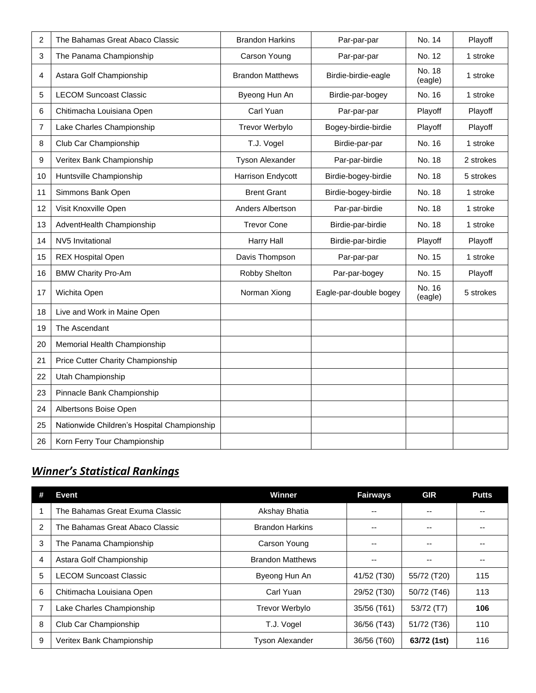| 2  | The Bahamas Great Abaco Classic             | <b>Brandon Harkins</b>  | Par-par-par            | No. 14            | Playoff   |
|----|---------------------------------------------|-------------------------|------------------------|-------------------|-----------|
| 3  | The Panama Championship                     | Carson Young            | Par-par-par            | No. 12            | 1 stroke  |
| 4  | Astara Golf Championship                    | <b>Brandon Matthews</b> | Birdie-birdie-eagle    | No. 18<br>(eagle) | 1 stroke  |
| 5  | <b>LECOM Suncoast Classic</b>               | Byeong Hun An           | Birdie-par-bogey       | No. 16            | 1 stroke  |
| 6  | Chitimacha Louisiana Open                   | Carl Yuan               | Par-par-par            | Playoff           | Playoff   |
| 7  | Lake Charles Championship                   | Trevor Werbylo          | Bogey-birdie-birdie    | Playoff           | Playoff   |
| 8  | Club Car Championship                       | T.J. Vogel              | Birdie-par-par         | No. 16            | 1 stroke  |
| 9  | Veritex Bank Championship                   | Tyson Alexander         | Par-par-birdie         | No. 18            | 2 strokes |
| 10 | Huntsville Championship                     | Harrison Endycott       | Birdie-bogey-birdie    | No. 18            | 5 strokes |
| 11 | Simmons Bank Open                           | <b>Brent Grant</b>      | Birdie-bogey-birdie    | No. 18            | 1 stroke  |
| 12 | Visit Knoxville Open                        | Anders Albertson        | Par-par-birdie         | No. 18            | 1 stroke  |
| 13 | AdventHealth Championship                   | <b>Trevor Cone</b>      | Birdie-par-birdie      | No. 18            | 1 stroke  |
| 14 | NV5 Invitational                            | Harry Hall              | Birdie-par-birdie      | Playoff           | Playoff   |
| 15 | <b>REX Hospital Open</b>                    | Davis Thompson          | Par-par-par            | No. 15            | 1 stroke  |
| 16 | <b>BMW Charity Pro-Am</b>                   | Robby Shelton           | Par-par-bogey          | No. 15            | Playoff   |
| 17 | Wichita Open                                | Norman Xiong            | Eagle-par-double bogey | No. 16<br>(eagle) | 5 strokes |
| 18 | Live and Work in Maine Open                 |                         |                        |                   |           |
| 19 | The Ascendant                               |                         |                        |                   |           |
| 20 | Memorial Health Championship                |                         |                        |                   |           |
| 21 | Price Cutter Charity Championship           |                         |                        |                   |           |
| 22 | Utah Championship                           |                         |                        |                   |           |
| 23 | Pinnacle Bank Championship                  |                         |                        |                   |           |
| 24 | Albertsons Boise Open                       |                         |                        |                   |           |
| 25 | Nationwide Children's Hospital Championship |                         |                        |                   |           |
| 26 | Korn Ferry Tour Championship                |                         |                        |                   |           |

# *Winner's Statistical Rankings*

|   | Event                           | Winner                  | <b>Fairways</b> | <b>GIR</b>  | <b>Putts</b> |
|---|---------------------------------|-------------------------|-----------------|-------------|--------------|
|   | The Bahamas Great Exuma Classic | Akshay Bhatia           |                 |             | --           |
| 2 | The Bahamas Great Abaco Classic | <b>Brandon Harkins</b>  | --              | --          | $-$          |
| 3 | The Panama Championship         | Carson Young            |                 | --          | --           |
| 4 | Astara Golf Championship        | <b>Brandon Matthews</b> |                 | --          | $- -$        |
| 5 | LECOM Suncoast Classic          | Byeong Hun An           | 41/52 (T30)     | 55/72 (T20) | 115          |
| 6 | Chitimacha Louisiana Open       | Carl Yuan               | 29/52 (T30)     | 50/72 (T46) | 113          |
|   | Lake Charles Championship       | Trevor Werbylo          | 35/56 (T61)     | 53/72 (T7)  | 106          |
| 8 | Club Car Championship           | T.J. Vogel              | 36/56 (T43)     | 51/72 (T36) | 110          |
| 9 | Veritex Bank Championship       | <b>Tyson Alexander</b>  | 36/56 (T60)     | 63/72 (1st) | 116          |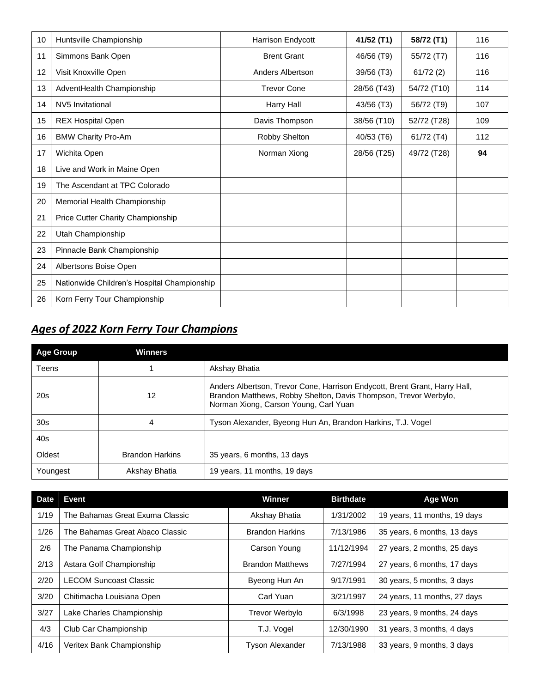| 10 | Huntsville Championship                     | Harrison Endycott  | 41/52 (T1)  | 58/72 (T1)  | 116 |
|----|---------------------------------------------|--------------------|-------------|-------------|-----|
| 11 | Simmons Bank Open                           | <b>Brent Grant</b> | 46/56 (T9)  | 55/72 (T7)  | 116 |
| 12 | Visit Knoxville Open                        | Anders Albertson   | 39/56 (T3)  | 61/72(2)    | 116 |
| 13 | AdventHealth Championship                   | <b>Trevor Cone</b> | 28/56 (T43) | 54/72 (T10) | 114 |
| 14 | NV5 Invitational                            | Harry Hall         | 43/56 (T3)  | 56/72 (T9)  | 107 |
| 15 | <b>REX Hospital Open</b>                    | Davis Thompson     | 38/56 (T10) | 52/72 (T28) | 109 |
| 16 | <b>BMW Charity Pro-Am</b>                   | Robby Shelton      | 40/53 (T6)  | 61/72 (T4)  | 112 |
| 17 | Wichita Open                                | Norman Xiong       | 28/56 (T25) | 49/72 (T28) | 94  |
| 18 | Live and Work in Maine Open                 |                    |             |             |     |
| 19 | The Ascendant at TPC Colorado               |                    |             |             |     |
| 20 | Memorial Health Championship                |                    |             |             |     |
| 21 | Price Cutter Charity Championship           |                    |             |             |     |
| 22 | Utah Championship                           |                    |             |             |     |
| 23 | Pinnacle Bank Championship                  |                    |             |             |     |
| 24 | Albertsons Boise Open                       |                    |             |             |     |
| 25 | Nationwide Children's Hospital Championship |                    |             |             |     |
| 26 | Korn Ferry Tour Championship                |                    |             |             |     |

# *Ages of 2022 Korn Ferry Tour Champions*

| <b>Age Group</b> | <b>Winners</b>         |                                                                                                                                                                                         |
|------------------|------------------------|-----------------------------------------------------------------------------------------------------------------------------------------------------------------------------------------|
| Teens            |                        | Akshay Bhatia                                                                                                                                                                           |
| 20s              | 12                     | Anders Albertson, Trevor Cone, Harrison Endycott, Brent Grant, Harry Hall,<br>Brandon Matthews, Robby Shelton, Davis Thompson, Trevor Werbylo,<br>Norman Xiong, Carson Young, Carl Yuan |
| 30 <sub>s</sub>  | 4                      | Tyson Alexander, Byeong Hun An, Brandon Harkins, T.J. Vogel                                                                                                                             |
| 40s              |                        |                                                                                                                                                                                         |
| Oldest           | <b>Brandon Harkins</b> | 35 years, 6 months, 13 days                                                                                                                                                             |
| Youngest         | Akshay Bhatia          | 19 years, 11 months, 19 days                                                                                                                                                            |

| <b>Date</b> | <b>Event</b>                    | Winner                  | <b>Birthdate</b> | <b>Age Won</b>               |
|-------------|---------------------------------|-------------------------|------------------|------------------------------|
| 1/19        | The Bahamas Great Exuma Classic | Akshay Bhatia           | 1/31/2002        | 19 years, 11 months, 19 days |
| 1/26        | The Bahamas Great Abaco Classic | <b>Brandon Harkins</b>  | 7/13/1986        | 35 years, 6 months, 13 days  |
| 2/6         | The Panama Championship         | Carson Young            | 11/12/1994       | 27 years, 2 months, 25 days  |
| 2/13        | Astara Golf Championship        | <b>Brandon Matthews</b> | 7/27/1994        | 27 years, 6 months, 17 days  |
| 2/20        | <b>LECOM Suncoast Classic</b>   | Byeong Hun An           | 9/17/1991        | 30 years, 5 months, 3 days   |
| 3/20        | Chitimacha Louisiana Open       | Carl Yuan               | 3/21/1997        | 24 years, 11 months, 27 days |
| 3/27        | Lake Charles Championship       | <b>Trevor Werbylo</b>   | 6/3/1998         | 23 years, 9 months, 24 days  |
| 4/3         | Club Car Championship           | T.J. Vogel              | 12/30/1990       | 31 years, 3 months, 4 days   |
| 4/16        | Veritex Bank Championship       | <b>Tyson Alexander</b>  | 7/13/1988        | 33 years, 9 months, 3 days   |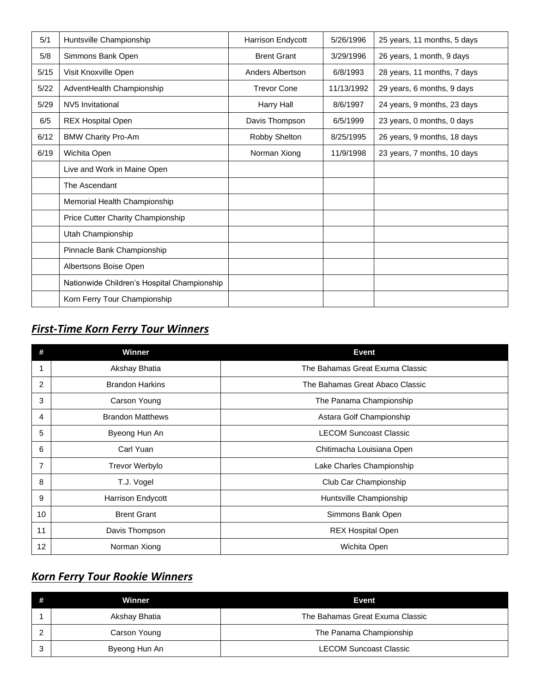| 5/1  | Huntsville Championship                     | <b>Harrison Endycott</b> | 5/26/1996  | 25 years, 11 months, 5 days |
|------|---------------------------------------------|--------------------------|------------|-----------------------------|
| 5/8  | Simmons Bank Open                           | <b>Brent Grant</b>       | 3/29/1996  | 26 years, 1 month, 9 days   |
| 5/15 | Visit Knoxville Open                        | Anders Albertson         | 6/8/1993   | 28 years, 11 months, 7 days |
| 5/22 | AdventHealth Championship                   | <b>Trevor Cone</b>       | 11/13/1992 | 29 years, 6 months, 9 days  |
| 5/29 | NV5 Invitational                            | Harry Hall               | 8/6/1997   | 24 years, 9 months, 23 days |
| 6/5  | <b>REX Hospital Open</b>                    | Davis Thompson           | 6/5/1999   | 23 years, 0 months, 0 days  |
| 6/12 | <b>BMW Charity Pro-Am</b>                   | Robby Shelton            | 8/25/1995  | 26 years, 9 months, 18 days |
| 6/19 | Wichita Open                                | Norman Xiong             | 11/9/1998  | 23 years, 7 months, 10 days |
|      | Live and Work in Maine Open                 |                          |            |                             |
|      | The Ascendant                               |                          |            |                             |
|      | Memorial Health Championship                |                          |            |                             |
|      | Price Cutter Charity Championship           |                          |            |                             |
|      | Utah Championship                           |                          |            |                             |
|      | Pinnacle Bank Championship                  |                          |            |                             |
|      | Albertsons Boise Open                       |                          |            |                             |
|      | Nationwide Children's Hospital Championship |                          |            |                             |
|      | Korn Ferry Tour Championship                |                          |            |                             |

## *First-Time Korn Ferry Tour Winners*

|                | <b>Winner</b>           | <b>Event</b>                    |
|----------------|-------------------------|---------------------------------|
|                | Akshay Bhatia           | The Bahamas Great Exuma Classic |
| $\overline{2}$ | <b>Brandon Harkins</b>  | The Bahamas Great Abaco Classic |
| 3              | Carson Young            | The Panama Championship         |
| 4              | <b>Brandon Matthews</b> | Astara Golf Championship        |
| 5              | Byeong Hun An           | <b>LECOM Suncoast Classic</b>   |
| 6              | Carl Yuan               | Chitimacha Louisiana Open       |
| 7              | Trevor Werbylo          | Lake Charles Championship       |
| 8              | T.J. Vogel              | Club Car Championship           |
| 9              | Harrison Endycott       | Huntsville Championship         |
| 10             | <b>Brent Grant</b>      | Simmons Bank Open               |
| 11             | Davis Thompson          | <b>REX Hospital Open</b>        |
| 12             | Norman Xiong            | Wichita Open                    |

## *Korn Ferry Tour Rookie Winners*

|   | Winner        | Event                           |
|---|---------------|---------------------------------|
|   | Akshay Bhatia | The Bahamas Great Exuma Classic |
|   | Carson Young  | The Panama Championship         |
| ാ | Byeong Hun An | <b>LECOM Suncoast Classic</b>   |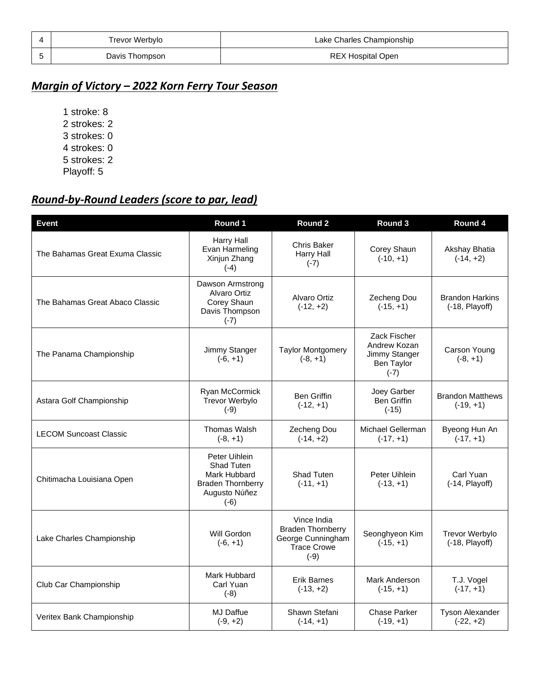| Trevor Werbylo | Lake Charles Championship |
|----------------|---------------------------|
| Davis Thompson | <b>REX Hospital Open</b>  |

## *Margin of Victory – 2022 Korn Ferry Tour Season*

## *Round-by-Round Leaders (score to par, lead)*

| <b>Event</b>                                                 | Round 1                                                                                            | Round 2                                                                               | Round 3                                                               | Round 4                                    |
|--------------------------------------------------------------|----------------------------------------------------------------------------------------------------|---------------------------------------------------------------------------------------|-----------------------------------------------------------------------|--------------------------------------------|
| The Bahamas Great Exuma Classic                              | <b>Harry Hall</b><br>Evan Harmeling<br>Xinjun Zhang<br>$(-4)$                                      | Chris Baker<br>Harry Hall<br>$(-7)$                                                   | Corey Shaun<br>$(-10, +1)$                                            | Akshay Bhatia<br>$(-14, +2)$               |
| The Bahamas Great Abaco Classic                              | Dawson Armstrong<br>Alvaro Ortiz<br>Corey Shaun<br>Davis Thompson<br>$(-7)$                        | Alvaro Ortiz<br>$(-12, +2)$                                                           | Zecheng Dou<br>$(-15, +1)$                                            | <b>Brandon Harkins</b><br>$(-18,$ Playoff) |
| Jimmy Stanger<br>The Panama Championship<br>$(-6, +1)$       |                                                                                                    | <b>Taylor Montgomery</b><br>$(-8, +1)$                                                | Zack Fischer<br>Andrew Kozan<br>Jimmy Stanger<br>Ben Taylor<br>$(-7)$ | Carson Young<br>$(-8, +1)$                 |
| Astara Golf Championship                                     | Ryan McCormick<br><b>Trevor Werbylo</b><br>$(-9)$                                                  | <b>Ben Griffin</b><br>$(-12, +1)$                                                     | Joey Garber<br><b>Ben Griffin</b><br>$(-15)$                          | <b>Brandon Matthews</b><br>$(-19, +1)$     |
| <b>LECOM Suncoast Classic</b>                                | <b>Thomas Walsh</b><br>$(-8, +1)$                                                                  | Zecheng Dou<br>$(-14, +2)$                                                            | Michael Gellerman<br>$(-17, +1)$                                      | Byeong Hun An<br>$(-17, +1)$               |
| Chitimacha Louisiana Open                                    | Peter Uihlein<br>Shad Tuten<br>Mark Hubbard<br><b>Braden Thornberry</b><br>Augusto Núñez<br>$(-6)$ | Shad Tuten<br>$(-11, +1)$                                                             | Peter Uihlein<br>$(-13, +1)$                                          | Carl Yuan<br>$(-14,$ Playoff)              |
| Will Gordon<br>Lake Charles Championship<br>$(-6, +1)$       |                                                                                                    | Vince India<br><b>Braden Thornberry</b><br>George Cunningham<br>Trace Crowe<br>$(-9)$ | Seonghyeon Kim<br>$(-15, +1)$                                         | <b>Trevor Werbylo</b><br>$(-18,$ Playoff)  |
| Mark Hubbard<br>Club Car Championship<br>Carl Yuan<br>$(-8)$ |                                                                                                    | <b>Erik Barnes</b><br>$(-13, +2)$                                                     | Mark Anderson<br>$(-15, +1)$                                          | T.J. Vogel<br>$(-17, +1)$                  |
| Veritex Bank Championship                                    | MJ Daffue<br>$(-9, +2)$                                                                            | Shawn Stefani<br>$(-14, +1)$                                                          | <b>Chase Parker</b><br>$(-19, +1)$                                    | <b>Tyson Alexander</b><br>$(-22, +2)$      |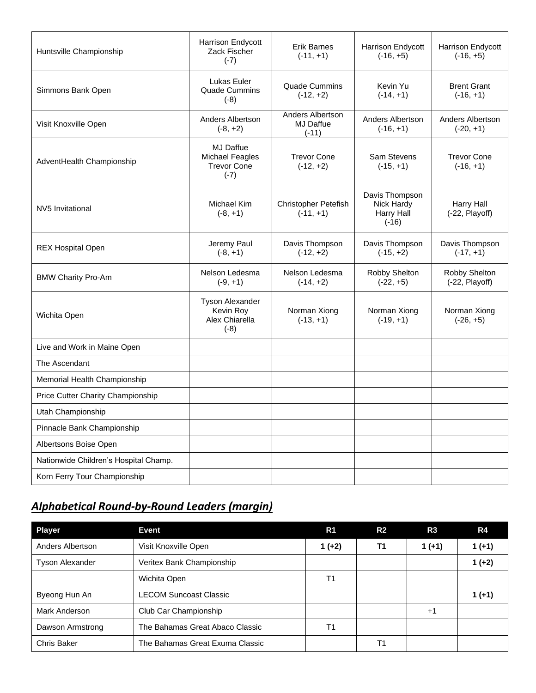| Huntsville Championship               | Harrison Endycott<br>Zack Fischer<br>$(-7)$                                | <b>Erik Barnes</b><br>$(-11, +1)$               | Harrison Endycott<br>$(-16, +5)$                             | Harrison Endycott<br>$(-16, +5)$  |
|---------------------------------------|----------------------------------------------------------------------------|-------------------------------------------------|--------------------------------------------------------------|-----------------------------------|
| Simmons Bank Open                     | Lukas Euler<br><b>Quade Cummins</b><br>$(-8)$                              | <b>Quade Cummins</b><br>$(-12, +2)$             | Kevin Yu<br>$(-14, +1)$                                      | <b>Brent Grant</b><br>$(-16, +1)$ |
| Visit Knoxville Open                  | Anders Albertson<br>$(-8, +2)$                                             | Anders Albertson<br><b>MJ Daffue</b><br>$(-11)$ | Anders Albertson<br>$(-16, +1)$                              | Anders Albertson<br>$(-20, +1)$   |
| AdventHealth Championship             | <b>MJ Daffue</b><br><b>Michael Feagles</b><br><b>Trevor Cone</b><br>$(-7)$ | <b>Trevor Cone</b><br>$(-12, +2)$               | Sam Stevens<br>$(-15, +1)$                                   | <b>Trevor Cone</b><br>$(-16, +1)$ |
| <b>NV5 Invitational</b>               | Michael Kim<br>$(-8, +1)$                                                  | <b>Christopher Petefish</b><br>$(-11, +1)$      | Davis Thompson<br>Nick Hardy<br><b>Harry Hall</b><br>$(-16)$ | Harry Hall<br>(-22, Playoff)      |
| <b>REX Hospital Open</b>              | Jeremy Paul<br>$(-8, +1)$                                                  | Davis Thompson<br>$(-12, +2)$                   | Davis Thompson<br>$(-15, +2)$                                | Davis Thompson<br>$(-17, +1)$     |
| <b>BMW Charity Pro-Am</b>             | Nelson Ledesma<br>$(-9, +1)$                                               | Nelson Ledesma<br>$(-14, +2)$                   | Robby Shelton<br>$(-22, +5)$                                 | Robby Shelton<br>(-22, Playoff)   |
| Wichita Open                          | Tyson Alexander<br>Kevin Roy<br>Alex Chiarella<br>$(-8)$                   | Norman Xiong<br>$(-13, +1)$                     | Norman Xiong<br>$(-19, +1)$                                  | Norman Xiong<br>$(-26, +5)$       |
| Live and Work in Maine Open           |                                                                            |                                                 |                                                              |                                   |
| The Ascendant                         |                                                                            |                                                 |                                                              |                                   |
| Memorial Health Championship          |                                                                            |                                                 |                                                              |                                   |
| Price Cutter Charity Championship     |                                                                            |                                                 |                                                              |                                   |
| Utah Championship                     |                                                                            |                                                 |                                                              |                                   |
| Pinnacle Bank Championship            |                                                                            |                                                 |                                                              |                                   |
| Albertsons Boise Open                 |                                                                            |                                                 |                                                              |                                   |
| Nationwide Children's Hospital Champ. |                                                                            |                                                 |                                                              |                                   |
| Korn Ferry Tour Championship          |                                                                            |                                                 |                                                              |                                   |

# *Alphabetical Round-by-Round Leaders (margin)*

| <b>Player</b>                                       | <b>Event</b>                    | R <sub>1</sub> | R <sub>2</sub> | R3       | R4       |
|-----------------------------------------------------|---------------------------------|----------------|----------------|----------|----------|
| Anders Albertson                                    | Visit Knoxville Open            | $1 (+2)$       | <b>T1</b>      | $1 (+1)$ | $1 (+1)$ |
| <b>Tyson Alexander</b><br>Veritex Bank Championship |                                 |                |                |          | $1 (+2)$ |
|                                                     | Wichita Open                    | T <sub>1</sub> |                |          |          |
| Byeong Hun An                                       | <b>LECOM Suncoast Classic</b>   |                |                |          | $1 (+1)$ |
| <b>Mark Anderson</b><br>Club Car Championship       |                                 |                |                | $+1$     |          |
| The Bahamas Great Abaco Classic<br>Dawson Armstrong |                                 | T1             |                |          |          |
| Chris Baker                                         | The Bahamas Great Exuma Classic |                | Τ1             |          |          |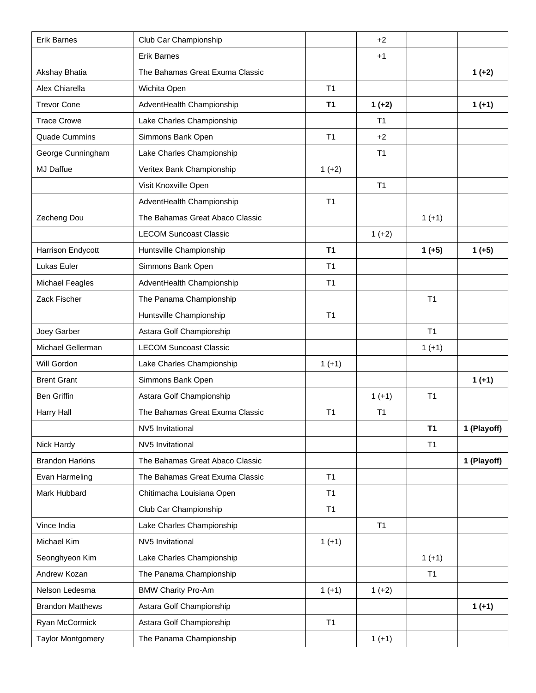| <b>Erik Barnes</b>                      | Club Car Championship           |                | $+2$           |                |             |
|-----------------------------------------|---------------------------------|----------------|----------------|----------------|-------------|
|                                         | <b>Erik Barnes</b>              |                | $+1$           |                |             |
| Akshay Bhatia                           | The Bahamas Great Exuma Classic |                |                |                | $1 (+2)$    |
| Alex Chiarella                          | Wichita Open                    | T <sub>1</sub> |                |                |             |
| <b>Trevor Cone</b>                      | AdventHealth Championship       |                | $1 (+2)$       |                | $1 (+1)$    |
| <b>Trace Crowe</b>                      | Lake Charles Championship       |                | T <sub>1</sub> |                |             |
| <b>Quade Cummins</b>                    | Simmons Bank Open               | T <sub>1</sub> | $+2$           |                |             |
| George Cunningham                       | Lake Charles Championship       |                | T <sub>1</sub> |                |             |
| MJ Daffue                               | Veritex Bank Championship       | $1 (+2)$       |                |                |             |
|                                         | Visit Knoxville Open            |                | T <sub>1</sub> |                |             |
|                                         | AdventHealth Championship       | T <sub>1</sub> |                |                |             |
| Zecheng Dou                             | The Bahamas Great Abaco Classic |                |                | $1 (+1)$       |             |
|                                         | <b>LECOM Suncoast Classic</b>   |                | $1 (+2)$       |                |             |
| Harrison Endycott                       | Huntsville Championship         | <b>T1</b>      |                | $1 (+5)$       | $1 (+5)$    |
| Lukas Euler                             | Simmons Bank Open               | T <sub>1</sub> |                |                |             |
| <b>Michael Feagles</b>                  | AdventHealth Championship       | T <sub>1</sub> |                |                |             |
| Zack Fischer<br>The Panama Championship |                                 |                |                | T <sub>1</sub> |             |
|                                         | Huntsville Championship         | T <sub>1</sub> |                |                |             |
| Joey Garber<br>Astara Golf Championship |                                 |                |                | T <sub>1</sub> |             |
| Michael Gellerman                       | <b>LECOM Suncoast Classic</b>   |                |                | $1 (+1)$       |             |
| Will Gordon                             | Lake Charles Championship       | $1 (+1)$       |                |                |             |
| <b>Brent Grant</b>                      | Simmons Bank Open               |                |                |                | $1 (+1)$    |
| <b>Ben Griffin</b>                      | Astara Golf Championship        |                | $1 (+1)$       | T <sub>1</sub> |             |
| Harry Hall                              | The Bahamas Great Exuma Classic | T <sub>1</sub> | T <sub>1</sub> |                |             |
|                                         | NV5 Invitational                |                |                | T <sub>1</sub> | 1 (Playoff) |
| Nick Hardy                              | NV5 Invitational                |                |                | T1             |             |
| <b>Brandon Harkins</b>                  | The Bahamas Great Abaco Classic |                |                |                | 1 (Playoff) |
| Evan Harmeling                          | The Bahamas Great Exuma Classic | T <sub>1</sub> |                |                |             |
| Mark Hubbard                            | Chitimacha Louisiana Open       | T <sub>1</sub> |                |                |             |
|                                         | Club Car Championship           | T1             |                |                |             |
| Vince India                             | Lake Charles Championship       |                | T1             |                |             |
| Michael Kim                             | NV5 Invitational                | $1 (+1)$       |                |                |             |
| Seonghyeon Kim                          | Lake Charles Championship       |                |                | $1 (+1)$       |             |
| Andrew Kozan                            | The Panama Championship         |                |                | T <sub>1</sub> |             |
| Nelson Ledesma                          | <b>BMW Charity Pro-Am</b>       | $1 (+1)$       | $1 (+2)$       |                |             |
| <b>Brandon Matthews</b>                 | Astara Golf Championship        |                |                |                | $1 (+1)$    |
| Ryan McCormick                          | Astara Golf Championship        | T1             |                |                |             |
| <b>Taylor Montgomery</b>                | The Panama Championship         |                | $1 (+1)$       |                |             |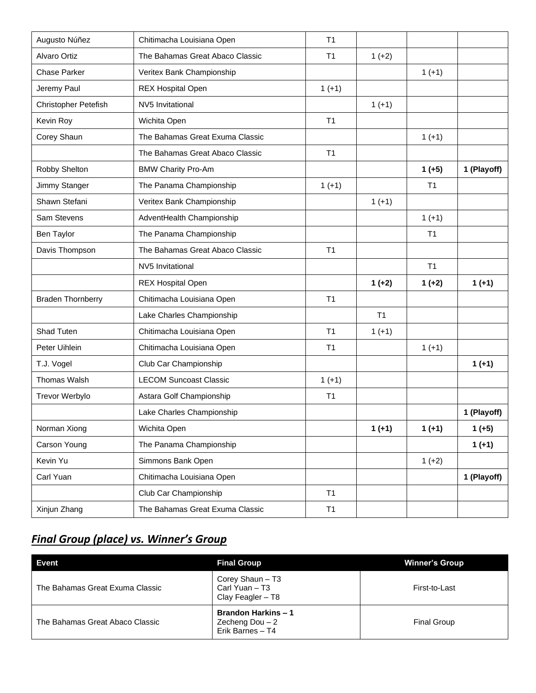| Augusto Núñez<br>Chitimacha Louisiana Open |                                 | T <sub>1</sub> |                |                |             |
|--------------------------------------------|---------------------------------|----------------|----------------|----------------|-------------|
| <b>Alvaro Ortiz</b>                        | The Bahamas Great Abaco Classic | T <sub>1</sub> | $1 (+2)$       |                |             |
| <b>Chase Parker</b>                        | Veritex Bank Championship       |                |                | $1 (+1)$       |             |
| Jeremy Paul                                | <b>REX Hospital Open</b>        | $1 (+1)$       |                |                |             |
| Christopher Petefish                       | NV5 Invitational                |                | $1 (+1)$       |                |             |
| Kevin Roy                                  | Wichita Open                    | T <sub>1</sub> |                |                |             |
| Corey Shaun                                | The Bahamas Great Exuma Classic |                |                | $1 (+1)$       |             |
|                                            | The Bahamas Great Abaco Classic | T <sub>1</sub> |                |                |             |
| Robby Shelton                              | <b>BMW Charity Pro-Am</b>       |                |                | $1 (+5)$       | 1 (Playoff) |
| Jimmy Stanger                              | The Panama Championship         | $1 (+1)$       |                | T <sub>1</sub> |             |
| Shawn Stefani                              | Veritex Bank Championship       |                | $1 (+1)$       |                |             |
| Sam Stevens                                | AdventHealth Championship       |                |                | $1 (+1)$       |             |
| The Panama Championship<br>Ben Taylor      |                                 |                |                | T <sub>1</sub> |             |
| Davis Thompson                             | The Bahamas Great Abaco Classic | T1             |                |                |             |
|                                            | NV5 Invitational                |                |                | T <sub>1</sub> |             |
|                                            | <b>REX Hospital Open</b>        |                | $1 (+2)$       | $1 (+2)$       | $1 (+1)$    |
| <b>Braden Thornberry</b>                   | Chitimacha Louisiana Open       | T <sub>1</sub> |                |                |             |
|                                            | Lake Charles Championship       |                | T <sub>1</sub> |                |             |
| Shad Tuten                                 | Chitimacha Louisiana Open       | T <sub>1</sub> | $1 (+1)$       |                |             |
| Peter Uihlein                              | Chitimacha Louisiana Open       | T <sub>1</sub> |                | $1 (+1)$       |             |
| T.J. Vogel                                 | Club Car Championship           |                |                |                | $1 (+1)$    |
| <b>Thomas Walsh</b>                        | <b>LECOM Suncoast Classic</b>   | $1 (+1)$       |                |                |             |
| Trevor Werbylo                             | Astara Golf Championship        | T <sub>1</sub> |                |                |             |
|                                            | Lake Charles Championship       |                |                |                | 1 (Playoff) |
| Norman Xiong                               | Wichita Open                    |                | $1 (+1)$       | $1 (+1)$       | $1 (+5)$    |
| Carson Young                               | The Panama Championship         |                |                |                | $1 (+1)$    |
| Kevin Yu                                   | Simmons Bank Open               |                |                | $1 (+2)$       |             |
| Carl Yuan                                  | Chitimacha Louisiana Open       |                |                |                | 1 (Playoff) |
|                                            | Club Car Championship           | T1             |                |                |             |
| Xinjun Zhang                               | The Bahamas Great Exuma Classic | <b>T1</b>      |                |                |             |

## *Final Group (place) vs. Winner's Group*

| Event                           | <b>Final Group</b>                                                 | <b>Winner's Group</b> |
|---------------------------------|--------------------------------------------------------------------|-----------------------|
| The Bahamas Great Exuma Classic | Corey Shaun - T3<br>Carl Yuan - T3<br>Clay Feagler - T8            | First-to-Last         |
| The Bahamas Great Abaco Classic | <b>Brandon Harkins - 1</b><br>Zecheng Dou $-2$<br>Erik Barnes - T4 | <b>Final Group</b>    |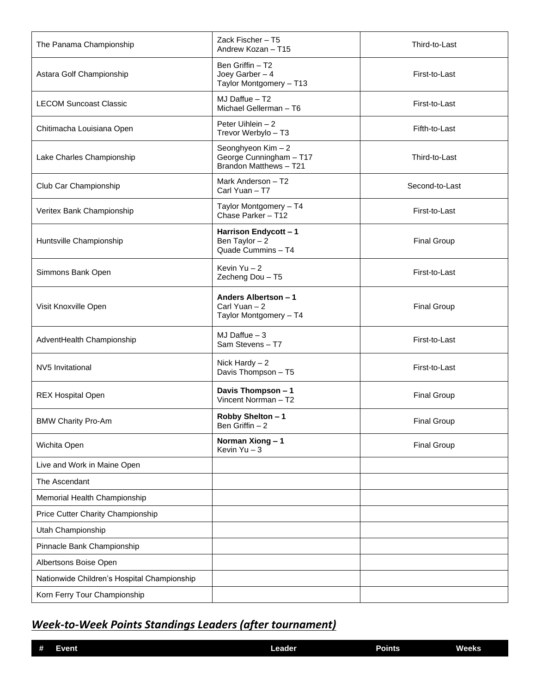| The Panama Championship                     | Zack Fischer - T5<br>Andrew Kozan - T15                                 | Third-to-Last      |
|---------------------------------------------|-------------------------------------------------------------------------|--------------------|
| Astara Golf Championship                    | Ben Griffin - T2<br>Joey Garber $-4$<br>Taylor Montgomery - T13         | First-to-Last      |
| <b>LECOM Suncoast Classic</b>               | MJ Daffue - T2<br>Michael Gellerman - T6                                | First-to-Last      |
| Chitimacha Louisiana Open                   | Peter Uihlein - 2<br>Trevor Werbylo - T3                                | Fifth-to-Last      |
| Lake Charles Championship                   | Seonghyeon Kim - 2<br>George Cunningham - T17<br>Brandon Matthews - T21 | Third-to-Last      |
| Club Car Championship                       | Mark Anderson - T2<br>Carl Yuan - T7                                    | Second-to-Last     |
| Veritex Bank Championship                   | Taylor Montgomery - T4<br>Chase Parker - T12                            | First-to-Last      |
| Huntsville Championship                     | Harrison Endycott - 1<br>Ben Taylor $-2$<br>Quade Cummins - T4          | <b>Final Group</b> |
| Simmons Bank Open                           | Kevin Yu-2<br>Zecheng Dou - T5                                          | First-to-Last      |
| Visit Knoxville Open                        | Anders Albertson - 1<br>Carl Yuan - 2<br>Taylor Montgomery - T4         | <b>Final Group</b> |
| AdventHealth Championship                   | MJ Daffue $-3$<br>Sam Stevens-T7                                        | First-to-Last      |
| NV5 Invitational                            | Nick Hardy $-2$<br>Davis Thompson - T5                                  | First-to-Last      |
| <b>REX Hospital Open</b>                    | Davis Thompson - 1<br>Vincent Norrman - T2                              | <b>Final Group</b> |
| <b>BMW Charity Pro-Am</b>                   | Robby Shelton - 1<br>Ben Griffin $-2$                                   | <b>Final Group</b> |
| Wichita Open                                | Norman Xiong-1<br>Kevin $Yu - 3$                                        | <b>Final Group</b> |
| Live and Work in Maine Open                 |                                                                         |                    |
| The Ascendant                               |                                                                         |                    |
| Memorial Health Championship                |                                                                         |                    |
| Price Cutter Charity Championship           |                                                                         |                    |
| Utah Championship                           |                                                                         |                    |
| Pinnacle Bank Championship                  |                                                                         |                    |
| Albertsons Boise Open                       |                                                                         |                    |
| Nationwide Children's Hospital Championship |                                                                         |                    |
| Korn Ferry Tour Championship                |                                                                         |                    |

## *Week-to-Week Points Standings Leaders (after tournament)*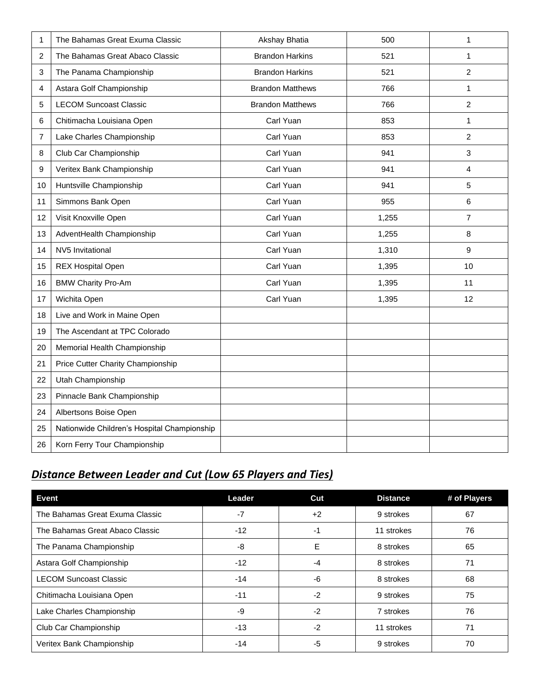| 1              | The Bahamas Great Exuma Classic             | Akshay Bhatia           | 500   | 1              |
|----------------|---------------------------------------------|-------------------------|-------|----------------|
| $\overline{c}$ | The Bahamas Great Abaco Classic             | <b>Brandon Harkins</b>  | 521   | $\mathbf{1}$   |
| $\mathbf{3}$   | The Panama Championship                     | <b>Brandon Harkins</b>  | 521   | $\overline{c}$ |
| 4              | Astara Golf Championship                    | <b>Brandon Matthews</b> | 766   | $\mathbf{1}$   |
| 5              | <b>LECOM Suncoast Classic</b>               | <b>Brandon Matthews</b> | 766   | $\overline{c}$ |
| 6              | Chitimacha Louisiana Open                   | Carl Yuan               | 853   | 1              |
| $\overline{7}$ | Lake Charles Championship                   | Carl Yuan               | 853   | $\overline{2}$ |
| 8              | Club Car Championship                       | Carl Yuan               | 941   | 3              |
| 9              | Veritex Bank Championship                   | Carl Yuan               | 941   | 4              |
| 10             | Huntsville Championship                     | Carl Yuan               | 941   | 5              |
| 11             | Simmons Bank Open                           | Carl Yuan               | 955   | 6              |
| 12             | Visit Knoxville Open                        | Carl Yuan               | 1,255 | 7              |
| 13             | AdventHealth Championship                   | Carl Yuan               | 1,255 | $\,8\,$        |
| 14             | NV5 Invitational                            | Carl Yuan               | 1,310 | 9              |
| 15             | <b>REX Hospital Open</b>                    | Carl Yuan               | 1,395 | 10             |
| 16             | <b>BMW Charity Pro-Am</b>                   | Carl Yuan               | 1,395 | 11             |
| 17             | Wichita Open                                | Carl Yuan               | 1,395 | 12             |
| 18             | Live and Work in Maine Open                 |                         |       |                |
| 19             | The Ascendant at TPC Colorado               |                         |       |                |
| 20             | Memorial Health Championship                |                         |       |                |
| 21             | Price Cutter Charity Championship           |                         |       |                |
| 22             | Utah Championship                           |                         |       |                |
| 23             | Pinnacle Bank Championship                  |                         |       |                |
| 24             | Albertsons Boise Open                       |                         |       |                |
| 25             | Nationwide Children's Hospital Championship |                         |       |                |
| 26             | Korn Ferry Tour Championship                |                         |       |                |

# *Distance Between Leader and Cut (Low 65 Players and Ties)*

| <b>Event</b>                    | Leader | Cut  | <b>Distance</b> | # of Players |
|---------------------------------|--------|------|-----------------|--------------|
| The Bahamas Great Exuma Classic | $-7$   | $+2$ | 9 strokes       | 67           |
| The Bahamas Great Abaco Classic | $-12$  | -1   | 11 strokes      | 76           |
| The Panama Championship         | -8     | E    | 8 strokes       | 65           |
| Astara Golf Championship        | $-12$  | -4   | 8 strokes       | 71           |
| <b>LECOM Suncoast Classic</b>   | $-14$  | -6   | 8 strokes       | 68           |
| Chitimacha Louisiana Open       | $-11$  | $-2$ | 9 strokes       | 75           |
| Lake Charles Championship       | -9     | $-2$ | 7 strokes       | 76           |
| Club Car Championship           | $-13$  | $-2$ | 11 strokes      | 71           |
| Veritex Bank Championship       | $-14$  | $-5$ | 9 strokes       | 70           |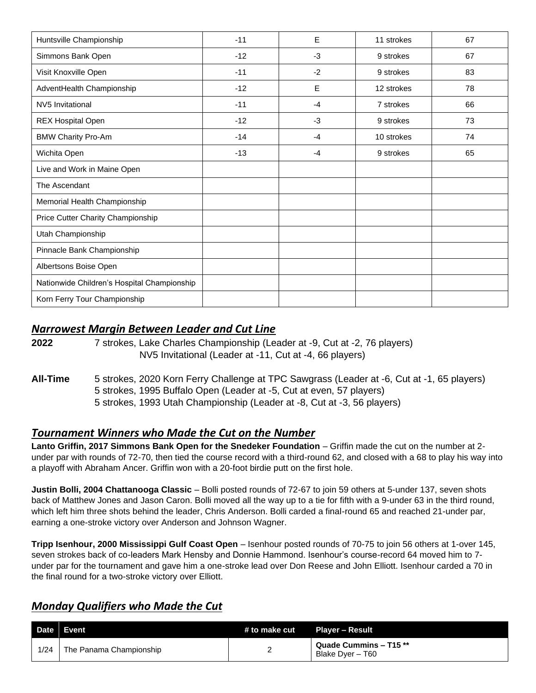| Huntsville Championship                     | $-11$ | E    | 11 strokes | 67 |
|---------------------------------------------|-------|------|------------|----|
| Simmons Bank Open                           | $-12$ | $-3$ | 9 strokes  | 67 |
| Visit Knoxville Open                        | $-11$ | $-2$ | 9 strokes  | 83 |
| AdventHealth Championship                   | $-12$ | E    | 12 strokes | 78 |
| NV5 Invitational                            | $-11$ | $-4$ | 7 strokes  | 66 |
| <b>REX Hospital Open</b>                    | $-12$ | $-3$ | 9 strokes  | 73 |
| <b>BMW Charity Pro-Am</b>                   | $-14$ | $-4$ | 10 strokes | 74 |
| Wichita Open                                | $-13$ | $-4$ | 9 strokes  | 65 |
| Live and Work in Maine Open                 |       |      |            |    |
| The Ascendant                               |       |      |            |    |
| Memorial Health Championship                |       |      |            |    |
| Price Cutter Charity Championship           |       |      |            |    |
| Utah Championship                           |       |      |            |    |
| Pinnacle Bank Championship                  |       |      |            |    |
| Albertsons Boise Open                       |       |      |            |    |
| Nationwide Children's Hospital Championship |       |      |            |    |
| Korn Ferry Tour Championship                |       |      |            |    |

#### *Narrowest Margin Between Leader and Cut Line*

**2022** 7 strokes, Lake Charles Championship (Leader at -9, Cut at -2, 76 players) NV5 Invitational (Leader at -11, Cut at -4, 66 players)

#### **All-Time** 5 strokes, 2020 Korn Ferry Challenge at TPC Sawgrass (Leader at -6, Cut at -1, 65 players) 5 strokes, 1995 Buffalo Open (Leader at -5, Cut at even, 57 players) 5 strokes, 1993 Utah Championship (Leader at -8, Cut at -3, 56 players)

#### *Tournament Winners who Made the Cut on the Number*

Lanto Griffin, 2017 Simmons Bank Open for the Snedeker Foundation - Griffin made the cut on the number at 2under par with rounds of 72-70, then tied the course record with a third-round 62, and closed with a 68 to play his way into a playoff with Abraham Ancer. Griffin won with a 20-foot birdie putt on the first hole.

**Justin Bolli, 2004 Chattanooga Classic** – Bolli posted rounds of 72-67 to join 59 others at 5-under 137, seven shots back of Matthew Jones and Jason Caron. Bolli moved all the way up to a tie for fifth with a 9-under 63 in the third round, which left him three shots behind the leader, Chris Anderson. Bolli carded a final-round 65 and reached 21-under par, earning a one-stroke victory over Anderson and Johnson Wagner.

**Tripp Isenhour, 2000 Mississippi Gulf Coast Open** – Isenhour posted rounds of 70-75 to join 56 others at 1-over 145, seven strokes back of co-leaders Mark Hensby and Donnie Hammond. Isenhour's course-record 64 moved him to 7 under par for the tournament and gave him a one-stroke lead over Don Reese and John Elliott. Isenhour carded a 70 in the final round for a two-stroke victory over Elliott.

#### *Monday Qualifiers who Made the Cut*

| <b>Date</b> | Event                   | # to make cut | Plaver – Result                                |
|-------------|-------------------------|---------------|------------------------------------------------|
| 1/24        | The Panama Championship |               | Quade Cummins $-$ T15 $**$<br>Blake Dver - T60 |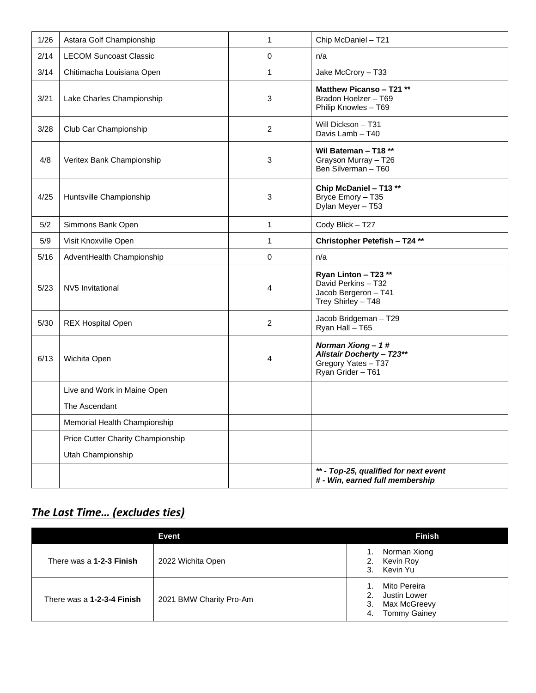| 1/26 | Astara Golf Championship          | 1              | Chip McDaniel - T21                                                                             |
|------|-----------------------------------|----------------|-------------------------------------------------------------------------------------------------|
| 2/14 | <b>LECOM Suncoast Classic</b>     | $\Omega$       | n/a                                                                                             |
| 3/14 | Chitimacha Louisiana Open         | 1              | Jake McCrory - T33                                                                              |
| 3/21 | Lake Charles Championship         | 3              | Matthew Picanso - T21 **<br>Bradon Hoelzer - T69<br>Philip Knowles - T69                        |
| 3/28 | Club Car Championship             | $\overline{2}$ | Will Dickson - T31<br>Davis Lamb - T40                                                          |
| 4/8  | Veritex Bank Championship         | 3              | Wil Bateman - T18 **<br>Grayson Murray - T26<br>Ben Silverman - T60                             |
| 4/25 | Huntsville Championship           | 3              | Chip McDaniel - T13 **<br>Bryce Emory - T35<br>Dylan Meyer - T53                                |
| 5/2  | Simmons Bank Open                 | 1              | Cody Blick - T27                                                                                |
| 5/9  | Visit Knoxville Open              | 1              | Christopher Petefish - T24 **                                                                   |
| 5/16 | AdventHealth Championship         | $\Omega$       | n/a                                                                                             |
| 5/23 | NV5 Invitational                  | 4              | Ryan Linton - T23 **<br>David Perkins - T32<br>Jacob Bergeron - T41<br>Trey Shirley - T48       |
| 5/30 | <b>REX Hospital Open</b>          | $\overline{c}$ | Jacob Bridgeman - T29<br>Ryan Hall - T65                                                        |
| 6/13 | Wichita Open                      | 4              | Norman Xiong-1#<br><b>Alistair Docherty - T23**</b><br>Gregory Yates - T37<br>Ryan Grider - T61 |
|      | Live and Work in Maine Open       |                |                                                                                                 |
|      | The Ascendant                     |                |                                                                                                 |
|      | Memorial Health Championship      |                |                                                                                                 |
|      | Price Cutter Charity Championship |                |                                                                                                 |
|      | Utah Championship                 |                |                                                                                                 |
|      |                                   |                | ** - Top-25, qualified for next event<br># - Win, earned full membership                        |

## *The Last Time… (excludes ties)*

|                            | Event                   | <b>Finish</b>                                                                                  |
|----------------------------|-------------------------|------------------------------------------------------------------------------------------------|
| There was a 1-2-3 Finish   | 2022 Wichita Open       | Norman Xiong<br>Kevin Roy<br>2.<br>Kevin Yu<br>3.                                              |
| There was a 1-2-3-4 Finish | 2021 BMW Charity Pro-Am | Mito Pereira<br>Justin Lower<br>$2^{\circ}$<br>Max McGreevy<br>3.<br><b>Tommy Gainey</b><br>4. |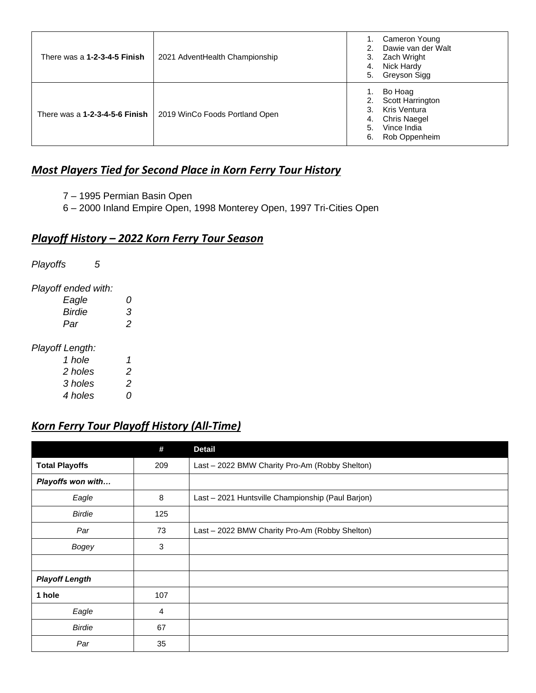| There was a 1-2-3-4-5 Finish   | 2021 AdventHealth Championship | Cameron Young<br>Dawie van der Walt<br>Zach Wright<br>3.<br>Nick Hardy<br>4.<br>Greyson Sigg<br>5.                               |
|--------------------------------|--------------------------------|----------------------------------------------------------------------------------------------------------------------------------|
| There was a 1-2-3-4-5-6 Finish | 2019 WinCo Foods Portland Open | Bo Hoag<br>Scott Harrington<br>2.<br>Kris Ventura<br>3.<br><b>Chris Naegel</b><br>4.<br>Vince India<br>5.<br>Rob Oppenheim<br>6. |

## *Most Players Tied for Second Place in Korn Ferry Tour History*

- 7 1995 Permian Basin Open
- 6 2000 Inland Empire Open, 1998 Monterey Open, 1997 Tri-Cities Open

## *Playoff History – 2022 Korn Ferry Tour Season*

*Playoffs 5*

*Playoff ended with:*

| Eagle  | G |
|--------|---|
| Birdie | З |
| Par    | 2 |

#### *Playoff Length:*

| 1 hole  | 1 |
|---------|---|
| 2 holes | 2 |
| 3 holes | 2 |
| 4 holes | 0 |

## *Korn Ferry Tour Playoff History (All-Time)*

|                       | #   | <b>Detail</b>                                     |
|-----------------------|-----|---------------------------------------------------|
| <b>Total Playoffs</b> | 209 | Last - 2022 BMW Charity Pro-Am (Robby Shelton)    |
| Playoffs won with     |     |                                                   |
| Eagle                 | 8   | Last - 2021 Huntsville Championship (Paul Barjon) |
| <b>Birdie</b>         | 125 |                                                   |
| Par                   | 73  | Last - 2022 BMW Charity Pro-Am (Robby Shelton)    |
| Bogey                 | 3   |                                                   |
|                       |     |                                                   |
| <b>Playoff Length</b> |     |                                                   |
| 1 hole                | 107 |                                                   |
| Eagle                 | 4   |                                                   |
| <b>Birdie</b>         | 67  |                                                   |
| Par                   | 35  |                                                   |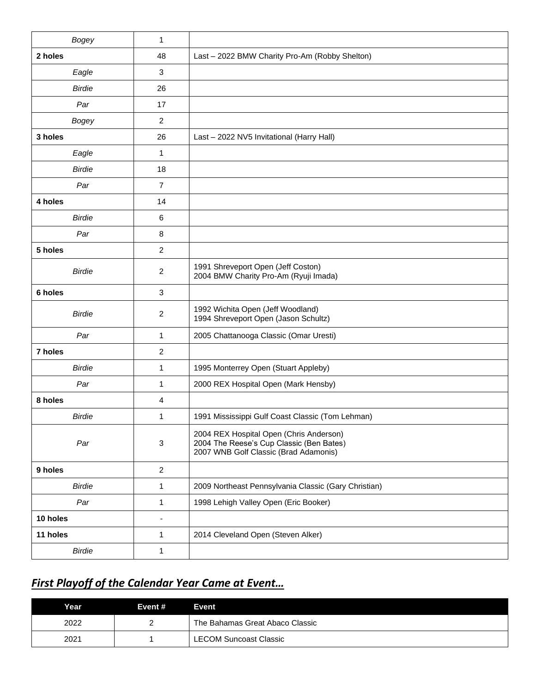| <b>Bogey</b>  | 1              |                                                                                                                              |
|---------------|----------------|------------------------------------------------------------------------------------------------------------------------------|
| 2 holes       | 48             | Last - 2022 BMW Charity Pro-Am (Robby Shelton)                                                                               |
| Eagle         | 3              |                                                                                                                              |
| <b>Birdie</b> | 26             |                                                                                                                              |
| Par           | 17             |                                                                                                                              |
| Bogey         | $\overline{2}$ |                                                                                                                              |
| 3 holes       | 26             | Last - 2022 NV5 Invitational (Harry Hall)                                                                                    |
| Eagle         | 1              |                                                                                                                              |
| <b>Birdie</b> | 18             |                                                                                                                              |
| Par           | $\overline{7}$ |                                                                                                                              |
| 4 holes       | 14             |                                                                                                                              |
| <b>Birdie</b> | 6              |                                                                                                                              |
| Par           | 8              |                                                                                                                              |
| 5 holes       | 2              |                                                                                                                              |
| <b>Birdie</b> | $\overline{2}$ | 1991 Shreveport Open (Jeff Coston)<br>2004 BMW Charity Pro-Am (Ryuji Imada)                                                  |
| 6 holes       | 3              |                                                                                                                              |
| <b>Birdie</b> | 2              | 1992 Wichita Open (Jeff Woodland)<br>1994 Shreveport Open (Jason Schultz)                                                    |
| Par           | 1              | 2005 Chattanooga Classic (Omar Uresti)                                                                                       |
| 7 holes       | 2              |                                                                                                                              |
| <b>Birdie</b> | $\mathbf{1}$   | 1995 Monterrey Open (Stuart Appleby)                                                                                         |
| Par           | 1              | 2000 REX Hospital Open (Mark Hensby)                                                                                         |
| 8 holes       | 4              |                                                                                                                              |
| <b>Birdie</b> | 1              | 1991 Mississippi Gulf Coast Classic (Tom Lehman)                                                                             |
| Par           | 3              | 2004 REX Hospital Open (Chris Anderson)<br>2004 The Reese's Cup Classic (Ben Bates)<br>2007 WNB Golf Classic (Brad Adamonis) |
| 9 holes       | $\overline{2}$ |                                                                                                                              |
| <b>Birdie</b> | 1              | 2009 Northeast Pennsylvania Classic (Gary Christian)                                                                         |
| Par           | $\mathbf{1}$   | 1998 Lehigh Valley Open (Eric Booker)                                                                                        |
| 10 holes      | $\blacksquare$ |                                                                                                                              |
| 11 holes      | 1              | 2014 Cleveland Open (Steven Alker)                                                                                           |
| <b>Birdie</b> | 1              |                                                                                                                              |

# *First Playoff of the Calendar Year Came at Event…*

| Year | Event # | Event:                          |
|------|---------|---------------------------------|
| 2022 |         | The Bahamas Great Abaco Classic |
| 2021 |         | <b>LECOM Suncoast Classic</b>   |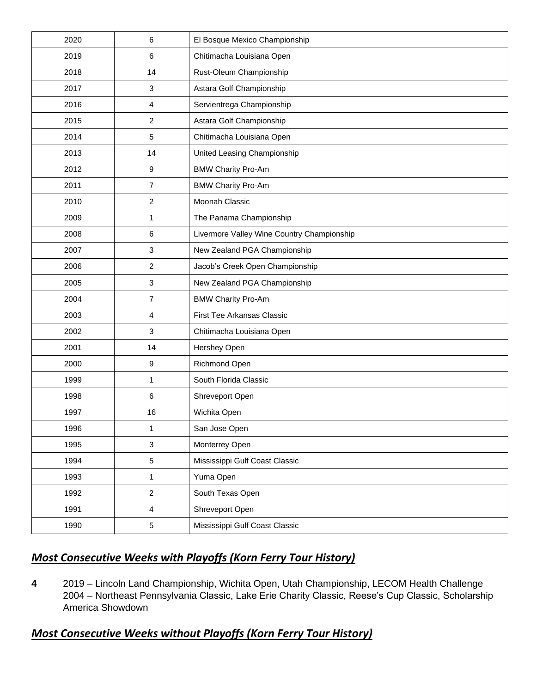| 2020 | 6                | El Bosque Mexico Championship              |
|------|------------------|--------------------------------------------|
| 2019 | 6                | Chitimacha Louisiana Open                  |
| 2018 | 14               | Rust-Oleum Championship                    |
| 2017 | 3                | Astara Golf Championship                   |
| 2016 | 4                | Servientrega Championship                  |
| 2015 | $\overline{c}$   | Astara Golf Championship                   |
| 2014 | 5                | Chitimacha Louisiana Open                  |
| 2013 | 14               | United Leasing Championship                |
| 2012 | $\boldsymbol{9}$ | <b>BMW Charity Pro-Am</b>                  |
| 2011 | $\overline{7}$   | <b>BMW Charity Pro-Am</b>                  |
| 2010 | 2                | Moonah Classic                             |
| 2009 | 1                | The Panama Championship                    |
| 2008 | 6                | Livermore Valley Wine Country Championship |
| 2007 | 3                | New Zealand PGA Championship               |
| 2006 | $\overline{2}$   | Jacob's Creek Open Championship            |
| 2005 | $\mathbf{3}$     | New Zealand PGA Championship               |
| 2004 | $\overline{7}$   | <b>BMW Charity Pro-Am</b>                  |
| 2003 | 4                | First Tee Arkansas Classic                 |
| 2002 | 3                | Chitimacha Louisiana Open                  |
| 2001 | 14               | Hershey Open                               |
| 2000 | 9                | Richmond Open                              |
| 1999 | 1                | South Florida Classic                      |
| 1998 | $\,6$            | Shreveport Open                            |
| 1997 | 16               | Wichita Open                               |
| 1996 | 1                | San Jose Open                              |
| 1995 | 3                | Monterrey Open                             |
| 1994 | $\,$ 5 $\,$      | Mississippi Gulf Coast Classic             |
| 1993 | $\mathbf{1}$     | Yuma Open                                  |
| 1992 | $\overline{c}$   | South Texas Open                           |
| 1991 | $\overline{4}$   | Shreveport Open                            |
| 1990 | $\,$ 5 $\,$      | Mississippi Gulf Coast Classic             |

## *Most Consecutive Weeks with Playoffs (Korn Ferry Tour History)*

 2019 – Lincoln Land Championship, Wichita Open, Utah Championship, LECOM Health Challenge 2004 – Northeast Pennsylvania Classic, Lake Erie Charity Classic, Reese's Cup Classic, Scholarship America Showdown

## *Most Consecutive Weeks without Playoffs (Korn Ferry Tour History)*